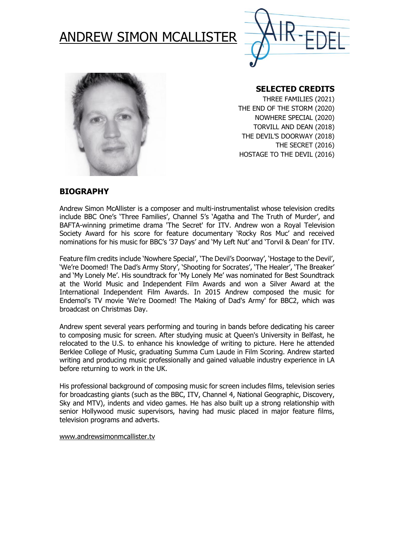





## **SELECTED CREDITS**

THREE FAMILIES (2021) THE END OF THE STORM (2020) NOWHERE SPECIAL (2020) TORVILL AND DEAN (2018) THE DEVIL'S DOORWAY (2018) THE SECRET (2016) HOSTAGE TO THE DEVIL (2016)

### **BIOGRAPHY**

Andrew Simon McAllister is a composer and multi-instrumentalist whose television credits include BBC One's 'Three Families', Channel 5's 'Agatha and The Truth of Murder', and BAFTA-winning primetime drama 'The Secret' for ITV. Andrew won a Royal Television Society Award for his score for feature documentary 'Rocky Ros Muc' and received nominations for his music for BBC's '37 Days' and 'My Left Nut' and 'Torvil & Dean' for ITV.

Feature film credits include 'Nowhere Special', 'The Devil's Doorway', 'Hostage to the Devil', 'We're Doomed! The Dad's Army Story', 'Shooting for Socrates', 'The Healer', 'The Breaker' and 'My Lonely Me'. His soundtrack for 'My Lonely Me' was nominated for Best Soundtrack at the World Music and Independent Film Awards and won a Silver Award at the International Independent Film Awards. In 2015 Andrew composed the music for Endemol's TV movie 'We're Doomed! The Making of Dad's Army' for BBC2, which was broadcast on Christmas Day.

Andrew spent several years performing and touring in bands before dedicating his career to composing music for screen. After studying music at Queen's University in Belfast, he relocated to the U.S. to enhance his knowledge of writing to picture. Here he attended Berklee College of Music, graduating Summa Cum Laude in Film Scoring. Andrew started writing and producing music professionally and gained valuable industry experience in LA before returning to work in the UK.

His professional background of composing music for screen includes films, television series for broadcasting giants (such as the BBC, ITV, Channel 4, National Geographic, Discovery, Sky and MTV), indents and video games. He has also built up a strong relationship with senior Hollywood music supervisors, having had music placed in major feature films, television programs and adverts.

[www.andrewsimonmcallister.tv](http://www.andrewsimonmcallister.tv/)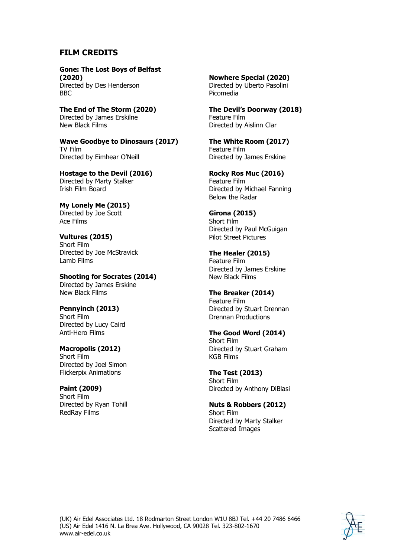## **FILM CREDITS**

**Gone: The Lost Boys of Belfast (2020)** Directed by Des Henderson BBC

**The End of The Storm (2020)** Directed by James Erskilne New Black Films

**Wave Goodbye to Dinosaurs (2017)** TV Film Directed by Eimhear O'Neill

**Hostage to the Devil (2016)** Directed by Marty Stalker Irish Film Board

**My Lonely Me (2015)** Directed by Joe Scott Ace Films

**Vultures (2015)** Short Film Directed by Joe McStravick Lamb Films

**Shooting for Socrates (2014)** Directed by James Erskine New Black Films

**Pennyinch (2013)** Short Film Directed by Lucy Caird Anti-Hero Films

**Macropolis (2012)** Short Film Directed by Joel Simon Flickerpix Animations

**Paint (2009)** Short Film Directed by Ryan Tohill RedRay Films

**Nowhere Special (2020)** Directed by Uberto Pasolini Picomedia

**The Devil's Doorway (2018)** Feature Film Directed by Aislinn Clar

**The White Room (2017)** Feature Film Directed by James Erskine

**Rocky Ros Muc (2016)** Feature Film Directed by Michael Fanning Below the Radar

**Girona (2015)** Short Film Directed by Paul McGuigan Pilot Street Pictures

**The Healer (2015)** Feature Film Directed by James Erskine New Black Films

**The Breaker (2014)** Feature Film Directed by Stuart Drennan Drennan Productions

**The Good Word (2014)** Short Film Directed by Stuart Graham KGB Films

**The Test (2013)** Short Film Directed by Anthony DiBlasi

**Nuts & Robbers (2012)** Short Film Directed by Marty Stalker Scattered Images

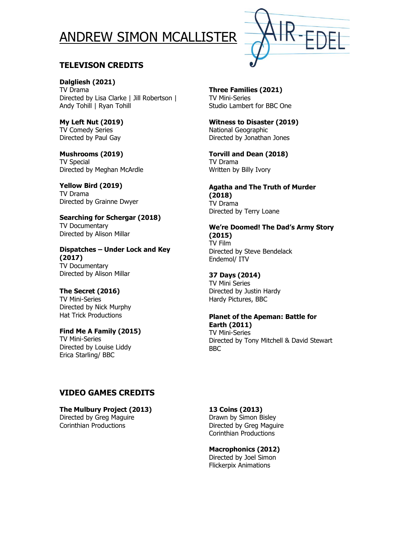# ANDREW SIMON MCALLISTER



# **TELEVISON CREDITS**

**Dalgliesh (2021)** TV Drama Directed by Lisa Clarke | Jill Robertson | Andy Tohill | Ryan Tohill

**My Left Nut (2019)** TV Comedy Series Directed by Paul Gay

**Mushrooms (2019)** TV Special Directed by Meghan McArdle

**Yellow Bird (2019)** TV Drama Directed by Grainne Dwyer

**Searching for Schergar (2018)** TV Documentary Directed by Alison Millar

**Dispatches – Under Lock and Key (2017)** TV Documentary Directed by Alison Millar

## **The Secret (2016)**

TV Mini-Series Directed by Nick Murphy Hat Trick Productions

#### **Find Me A Family (2015)**

TV Mini-Series Directed by Louise Liddy Erica Starling/ BBC

**Three Families (2021)** TV Mini-Series Studio Lambert for BBC One

**Witness to Disaster (2019)** National Geographic Directed by Jonathan Jones

**Torvill and Dean (2018)** TV Drama Written by Billy Ivory

#### **Agatha and The Truth of Murder (2018)** TV Drama

Directed by Terry Loane

#### **We're Doomed! The Dad's Army Story (2015)**

TV Film Directed by Steve Bendelack Endemol/ ITV

#### **37 Days (2014)**

TV Mini Series Directed by Justin Hardy Hardy Pictures, BBC

#### **Planet of the Apeman: Battle for Earth (2011)**

TV Mini-Series Directed by Tony Mitchell & David Stewart BBC

## **VIDEO GAMES CREDITS**

**The Mulbury Project (2013)** Directed by Greg Maguire Corinthian Productions

**13 Coins (2013)**

Drawn by Simon Bisley Directed by Greg Maguire Corinthian Productions

## **Macrophonics (2012)**

Directed by Joel Simon Flickerpix Animations